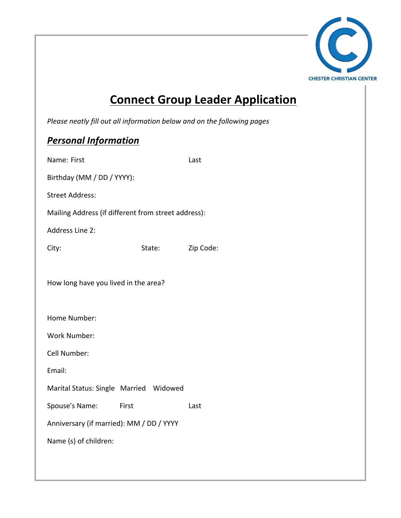

## **Connect Group Leader Application**

*Please neatly fill out all information below and on the following pages* 

## **Personal Information**

| Name: First                                         |        | Last      |
|-----------------------------------------------------|--------|-----------|
| Birthday (MM / DD / YYYY):                          |        |           |
| <b>Street Address:</b>                              |        |           |
| Mailing Address (if different from street address): |        |           |
| <b>Address Line 2:</b>                              |        |           |
| City:                                               | State: | Zip Code: |
|                                                     |        |           |
| How long have you lived in the area?                |        |           |
|                                                     |        |           |
| Home Number:                                        |        |           |
| <b>Work Number:</b>                                 |        |           |
| Cell Number:                                        |        |           |
| Email:                                              |        |           |
| Marital Status: Single Married Widowed              |        |           |
| Spouse's Name: First                                |        | Last      |
| Anniversary (if married): MM / DD / YYYY            |        |           |
| Name (s) of children:                               |        |           |
|                                                     |        |           |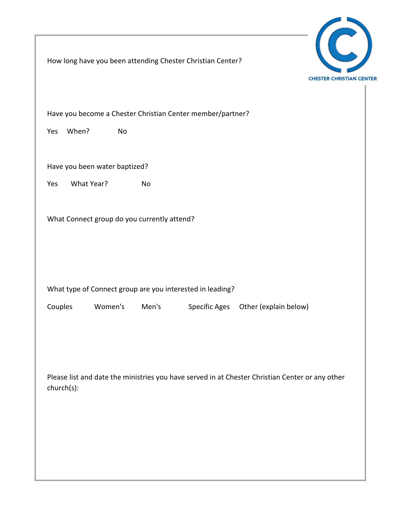

How long have you been attending Chester Christian Center?

Have you become a Chester Christian Center member/partner?

Yes When? No

Have you been water baptized?

Yes What Year? No

What Connect group do you currently attend?

What type of Connect group are you interested in leading?

Couples Women's Men's Specific Ages Other (explain below)

Please list and date the ministries you have served in at Chester Christian Center or any other church(s):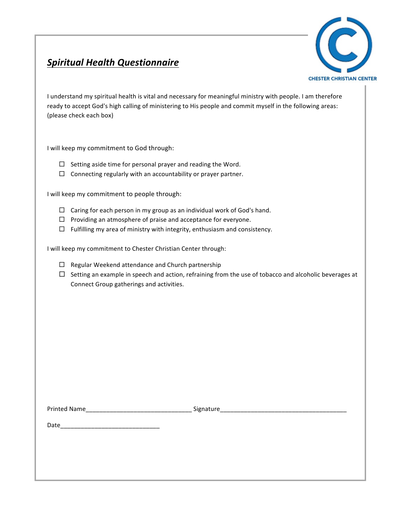## **Spiritual Health Questionnaire**



I understand my spiritual health is vital and necessary for meaningful ministry with people. I am therefore ready to accept God's high calling of ministering to His people and commit myself in the following areas: (please check each box)

I will keep my commitment to God through:

- $\Box$  Setting aside time for personal prayer and reading the Word.
- $\Box$  Connecting regularly with an accountability or prayer partner.

I will keep my commitment to people through:

- $\Box$  Caring for each person in my group as an individual work of God's hand.
- $\Box$  Providing an atmosphere of praise and acceptance for everyone.
- $\Box$  Fulfilling my area of ministry with integrity, enthusiasm and consistency.

I will keep my commitment to Chester Christian Center through:

- $\Box$  Regular Weekend attendance and Church partnership
- $\Box$  Setting an example in speech and action, refraining from the use of tobacco and alcoholic beverages at Connect Group gatherings and activities.

Printed Name\_\_\_\_\_\_\_\_\_\_\_\_\_\_\_\_\_\_\_\_\_\_\_\_\_\_\_\_\_\_\_ Signature\_\_\_\_\_\_\_\_\_\_\_\_\_\_\_\_\_\_\_\_\_\_\_\_\_\_\_\_\_\_\_\_\_\_\_\_\_

Date\_\_\_\_\_\_\_\_\_\_\_\_\_\_\_\_\_\_\_\_\_\_\_\_\_\_\_\_\_